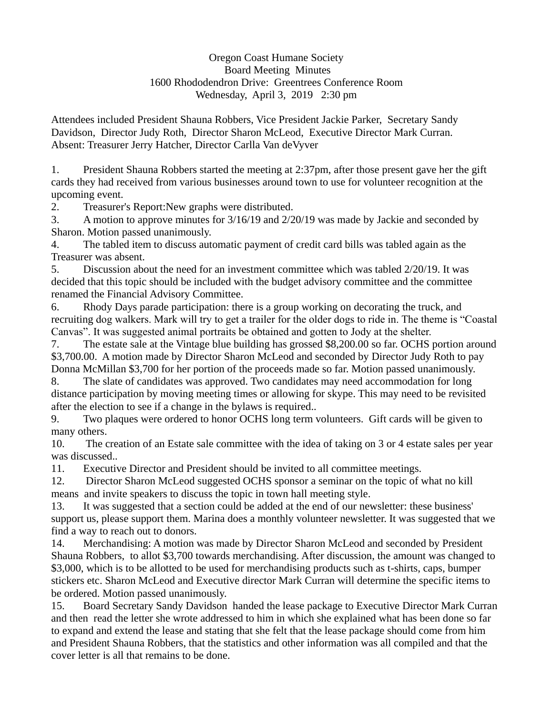## Oregon Coast Humane Society Board Meeting Minutes 1600 Rhododendron Drive: Greentrees Conference Room Wednesday, April 3, 2019 2:30 pm

Attendees included President Shauna Robbers, Vice President Jackie Parker, Secretary Sandy Davidson, Director Judy Roth, Director Sharon McLeod, Executive Director Mark Curran. Absent: Treasurer Jerry Hatcher, Director Carlla Van deVyver

1. President Shauna Robbers started the meeting at 2:37pm, after those present gave her the gift cards they had received from various businesses around town to use for volunteer recognition at the upcoming event.

2. Treasurer's Report:New graphs were distributed.

3. A motion to approve minutes for 3/16/19 and 2/20/19 was made by Jackie and seconded by Sharon. Motion passed unanimously.

4. The tabled item to discuss automatic payment of credit card bills was tabled again as the Treasurer was absent.

5. Discussion about the need for an investment committee which was tabled 2/20/19. It was decided that this topic should be included with the budget advisory committee and the committee renamed the Financial Advisory Committee.

6. Rhody Days parade participation: there is a group working on decorating the truck, and recruiting dog walkers. Mark will try to get a trailer for the older dogs to ride in. The theme is "Coastal Canvas". It was suggested animal portraits be obtained and gotten to Jody at the shelter.

7. The estate sale at the Vintage blue building has grossed \$8,200.00 so far. OCHS portion around \$3,700.00. A motion made by Director Sharon McLeod and seconded by Director Judy Roth to pay Donna McMillan \$3,700 for her portion of the proceeds made so far. Motion passed unanimously.

8. The slate of candidates was approved. Two candidates may need accommodation for long distance participation by moving meeting times or allowing for skype. This may need to be revisited after the election to see if a change in the bylaws is required..

9. Two plaques were ordered to honor OCHS long term volunteers. Gift cards will be given to many others.

10. The creation of an Estate sale committee with the idea of taking on 3 or 4 estate sales per year was discussed..

11. Executive Director and President should be invited to all committee meetings.

12. Director Sharon McLeod suggested OCHS sponsor a seminar on the topic of what no kill means and invite speakers to discuss the topic in town hall meeting style.

13. It was suggested that a section could be added at the end of our newsletter: these business' support us, please support them. Marina does a monthly volunteer newsletter. It was suggested that we find a way to reach out to donors.

14. Merchandising: A motion was made by Director Sharon McLeod and seconded by President Shauna Robbers, to allot \$3,700 towards merchandising. After discussion, the amount was changed to \$3,000, which is to be allotted to be used for merchandising products such as t-shirts, caps, bumper stickers etc. Sharon McLeod and Executive director Mark Curran will determine the specific items to be ordered. Motion passed unanimously.

15. Board Secretary Sandy Davidson handed the lease package to Executive Director Mark Curran and then read the letter she wrote addressed to him in which she explained what has been done so far to expand and extend the lease and stating that she felt that the lease package should come from him and President Shauna Robbers, that the statistics and other information was all compiled and that the cover letter is all that remains to be done.